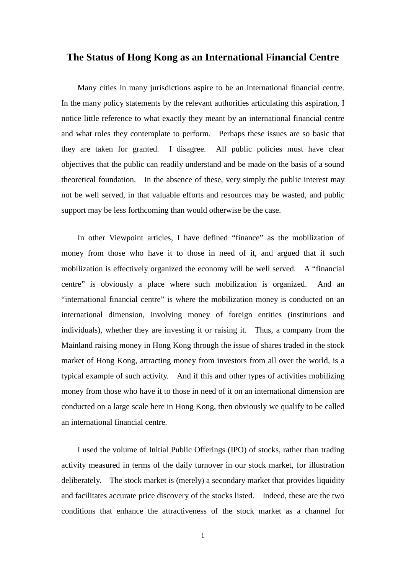## **The Status of Hong Kong as an International Financial Centre**

Many cities in many jurisdictions aspire to be an international financial centre. In the many policy statements by the relevant authorities articulating this aspiration, I notice little reference to what exactly they meant by an international financial centre and what roles they contemplate to perform. Perhaps these issues are so basic that they are taken for granted. I disagree. All public policies must have clear objectives that the public can readily understand and be made on the basis of a sound theoretical foundation. In the absence of these, very simply the public interest may not be well served, in that valuable efforts and resources may be wasted, and public support may be less forthcoming than would otherwise be the case.

In other Viewpoint articles, I have defined "finance" as the mobilization of money from those who have it to those in need of it, and argued that if such mobilization is effectively organized the economy will be well served. A "financial centre" is obviously a place where such mobilization is organized. And an "international financial centre" is where the mobilization money is conducted on an international dimension, involving money of foreign entities (institutions and individuals), whether they are investing it or raising it. Thus, a company from the Mainland raising money in Hong Kong through the issue of shares traded in the stock market of Hong Kong, attracting money from investors from all over the world, is a typical example of such activity. And if this and other types of activities mobilizing money from those who have it to those in need of it on an international dimension are conducted on a large scale here in Hong Kong, then obviously we qualify to be called an international financial centre.

I used the volume of Initial Public Offerings (IPO) of stocks, rather than trading activity measured in terms of the daily turnover in our stock market, for illustration deliberately. The stock market is (merely) a secondary market that provides liquidity and facilitates accurate price discovery of the stocks listed. Indeed, these are the two conditions that enhance the attractiveness of the stock market as a channel for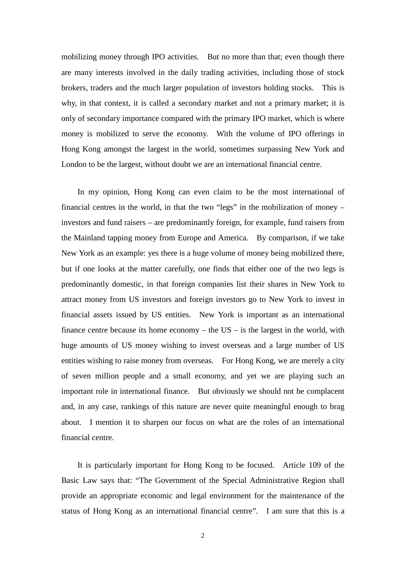mobilizing money through IPO activities. But no more than that; even though there are many interests involved in the daily trading activities, including those of stock brokers, traders and the much larger population of investors holding stocks. This is why, in that context, it is called a secondary market and not a primary market; it is only of secondary importance compared with the primary IPO market, which is where money is mobilized to serve the economy. With the volume of IPO offerings in Hong Kong amongst the largest in the world, sometimes surpassing New York and London to be the largest, without doubt we are an international financial centre.

In my opinion, Hong Kong can even claim to be the most international of financial centres in the world, in that the two "legs" in the mobilization of money – investors and fund raisers – are predominantly foreign, for example, fund raisers from the Mainland tapping money from Europe and America. By comparison, if we take New York as an example: yes there is a huge volume of money being mobilized there, but if one looks at the matter carefully, one finds that either one of the two legs is predominantly domestic, in that foreign companies list their shares in New York to attract money from US investors and foreign investors go to New York to invest in financial assets issued by US entities. New York is important as an international finance centre because its home economy – the  $US -$  is the largest in the world, with huge amounts of US money wishing to invest overseas and a large number of US entities wishing to raise money from overseas. For Hong Kong, we are merely a city of seven million people and a small economy, and yet we are playing such an important role in international finance. But obviously we should not be complacent and, in any case, rankings of this nature are never quite meaningful enough to brag about. I mention it to sharpen our focus on what are the roles of an international financial centre.

It is particularly important for Hong Kong to be focused. Article 109 of the Basic Law says that: "The Government of the Special Administrative Region shall provide an appropriate economic and legal environment for the maintenance of the status of Hong Kong as an international financial centre". I am sure that this is a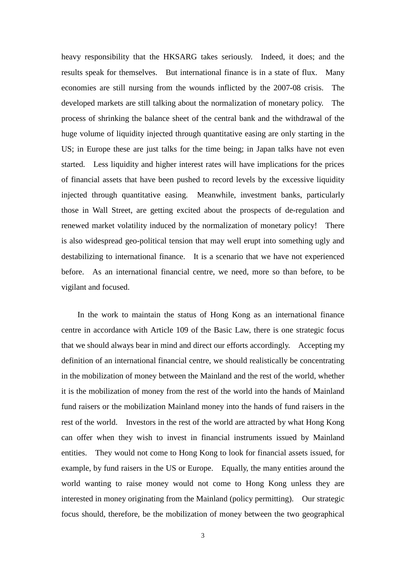heavy responsibility that the HKSARG takes seriously. Indeed, it does; and the results speak for themselves. But international finance is in a state of flux. Many economies are still nursing from the wounds inflicted by the 2007-08 crisis. The developed markets are still talking about the normalization of monetary policy. The process of shrinking the balance sheet of the central bank and the withdrawal of the huge volume of liquidity injected through quantitative easing are only starting in the US; in Europe these are just talks for the time being; in Japan talks have not even started. Less liquidity and higher interest rates will have implications for the prices of financial assets that have been pushed to record levels by the excessive liquidity injected through quantitative easing. Meanwhile, investment banks, particularly those in Wall Street, are getting excited about the prospects of de-regulation and renewed market volatility induced by the normalization of monetary policy! There is also widespread geo-political tension that may well erupt into something ugly and destabilizing to international finance. It is a scenario that we have not experienced before. As an international financial centre, we need, more so than before, to be vigilant and focused.

In the work to maintain the status of Hong Kong as an international finance centre in accordance with Article 109 of the Basic Law, there is one strategic focus that we should always bear in mind and direct our efforts accordingly. Accepting my definition of an international financial centre, we should realistically be concentrating in the mobilization of money between the Mainland and the rest of the world, whether it is the mobilization of money from the rest of the world into the hands of Mainland fund raisers or the mobilization Mainland money into the hands of fund raisers in the rest of the world. Investors in the rest of the world are attracted by what Hong Kong can offer when they wish to invest in financial instruments issued by Mainland entities. They would not come to Hong Kong to look for financial assets issued, for example, by fund raisers in the US or Europe. Equally, the many entities around the world wanting to raise money would not come to Hong Kong unless they are interested in money originating from the Mainland (policy permitting). Our strategic focus should, therefore, be the mobilization of money between the two geographical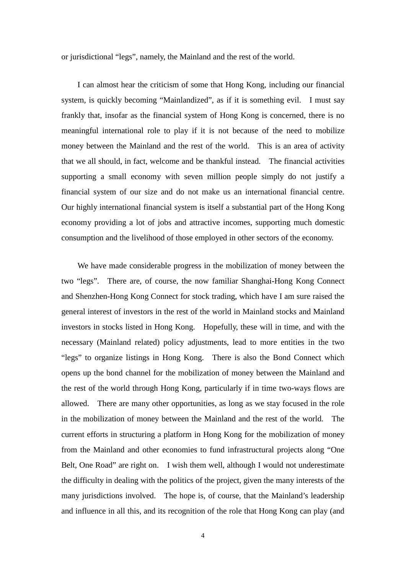or jurisdictional "legs", namely, the Mainland and the rest of the world.

I can almost hear the criticism of some that Hong Kong, including our financial system, is quickly becoming "Mainlandized", as if it is something evil. I must say frankly that, insofar as the financial system of Hong Kong is concerned, there is no meaningful international role to play if it is not because of the need to mobilize money between the Mainland and the rest of the world. This is an area of activity that we all should, in fact, welcome and be thankful instead. The financial activities supporting a small economy with seven million people simply do not justify a financial system of our size and do not make us an international financial centre. Our highly international financial system is itself a substantial part of the Hong Kong economy providing a lot of jobs and attractive incomes, supporting much domestic consumption and the livelihood of those employed in other sectors of the economy.

We have made considerable progress in the mobilization of money between the two "legs". There are, of course, the now familiar Shanghai-Hong Kong Connect and Shenzhen-Hong Kong Connect for stock trading, which have I am sure raised the general interest of investors in the rest of the world in Mainland stocks and Mainland investors in stocks listed in Hong Kong. Hopefully, these will in time, and with the necessary (Mainland related) policy adjustments, lead to more entities in the two "legs" to organize listings in Hong Kong. There is also the Bond Connect which opens up the bond channel for the mobilization of money between the Mainland and the rest of the world through Hong Kong, particularly if in time two-ways flows are allowed. There are many other opportunities, as long as we stay focused in the role in the mobilization of money between the Mainland and the rest of the world. The current efforts in structuring a platform in Hong Kong for the mobilization of money from the Mainland and other economies to fund infrastructural projects along "One Belt, One Road" are right on. I wish them well, although I would not underestimate the difficulty in dealing with the politics of the project, given the many interests of the many jurisdictions involved. The hope is, of course, that the Mainland's leadership and influence in all this, and its recognition of the role that Hong Kong can play (and